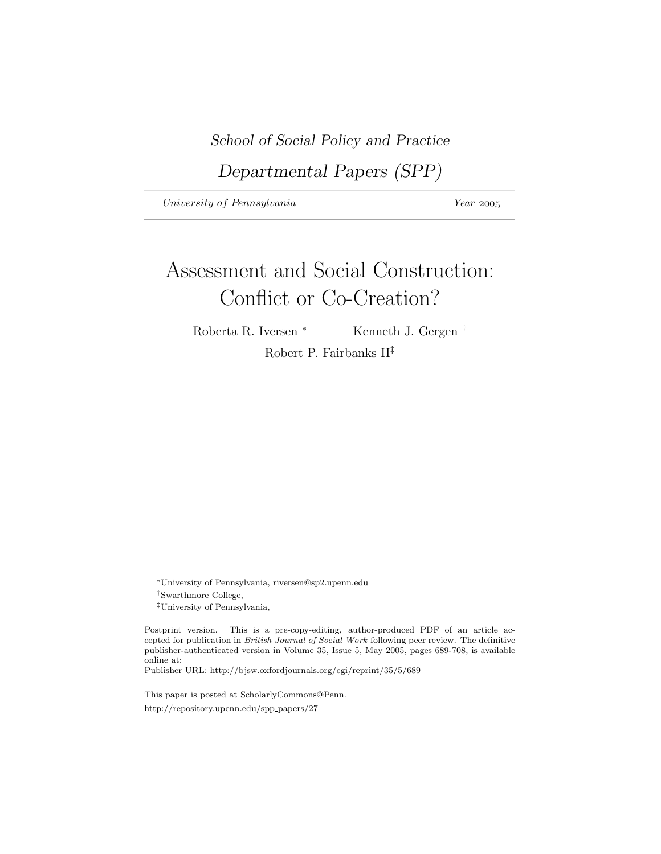*School of Social Policy and Practice*

*Departmental Papers (SPP)*

University of Pennsylvania *Year*

# Assessment and Social Construction: Conflict or Co-Creation?

Roberta R. Iversen <sup>∗</sup> Kenneth J. Gergen <sup>†</sup>

Robert P. Fairbanks II ‡

∗University of Pennsylvania, riversen@sp2.upenn.edu

†Swarthmore College,

‡University of Pennsylvania,

Postprint version. This is a pre-copy-editing, author-produced PDF of an article accepted for publication in *British Journal of Social Work* following peer review. The definitive publisher-authenticated version in Volume 35, Issue 5, May 2005, pages 689-708, is available online at:

Publisher URL: http://bjsw.oxfordjournals.org/cgi/reprint/35/5/689

This paper is posted at ScholarlyCommons@Penn. http://repository.upenn.edu/spp papers/27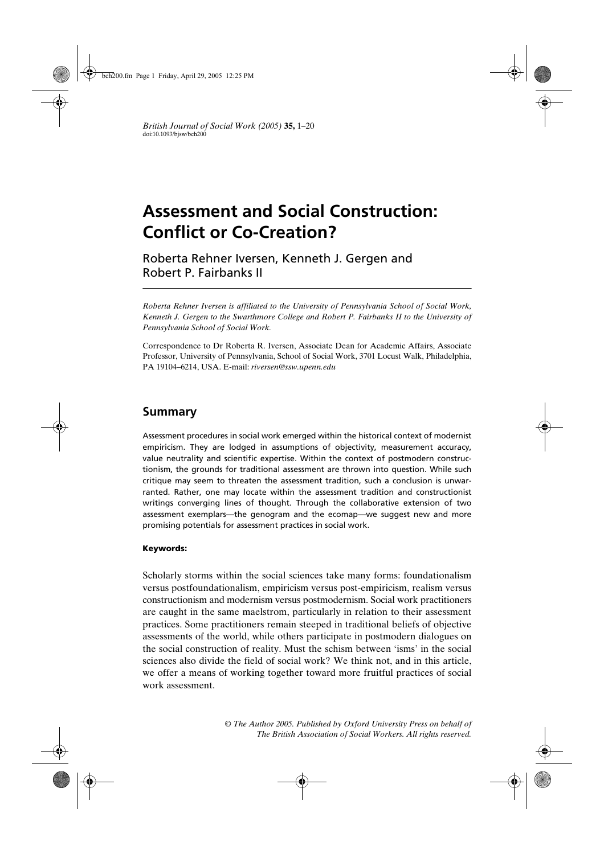bch200.fm Page 1 Friday, April 29, 2005 12:25 PM

*British Journal of Social Work (2005)* **35,** 1–20 doi:10.1093/bjsw/bch200

# **Assessment and Social Construction: Conflict or Co-Creation?**

Roberta Rehner Iversen, Kenneth J. Gergen and Robert P. Fairbanks II

*Roberta Rehner Iversen is affiliated to the University of Pennsylvania School of Social Work, Kenneth J. Gergen to the Swarthmore College and Robert P. Fairbanks II to the University of Pennsylvania School of Social Work.*

Correspondence to Dr Roberta R. Iversen, Associate Dean for Academic Affairs, Associate Professor, University of Pennsylvania, School of Social Work, 3701 Locust Walk, Philadelphia, PA 19104–6214, USA. E-mail: *riversen@ssw.upenn.edu*

# **Summary**

Assessment procedures in social work emerged within the historical context of modernist empiricism. They are lodged in assumptions of objectivity, measurement accuracy, value neutrality and scientific expertise. Within the context of postmodern constructionism, the grounds for traditional assessment are thrown into question. While such critique may seem to threaten the assessment tradition, such a conclusion is unwarranted. Rather, one may locate within the assessment tradition and constructionist writings converging lines of thought. Through the collaborative extension of two assessment exemplars—the genogram and the ecomap—we suggest new and more promising potentials for assessment practices in social work.

#### Keywords:

Scholarly storms within the social sciences take many forms: foundationalism versus postfoundationalism, empiricism versus post-empiricism, realism versus constructionism and modernism versus postmodernism. Social work practitioners are caught in the same maelstrom, particularly in relation to their assessment practices. Some practitioners remain steeped in traditional beliefs of objective assessments of the world, while others participate in postmodern dialogues on the social construction of reality. Must the schism between 'isms' in the social sciences also divide the field of social work? We think not, and in this article, we offer a means of working together toward more fruitful practices of social work assessment.

> *© The Author 2005. Published by Oxford University Press on behalf of The British Association of Social Workers. All rights reserved.*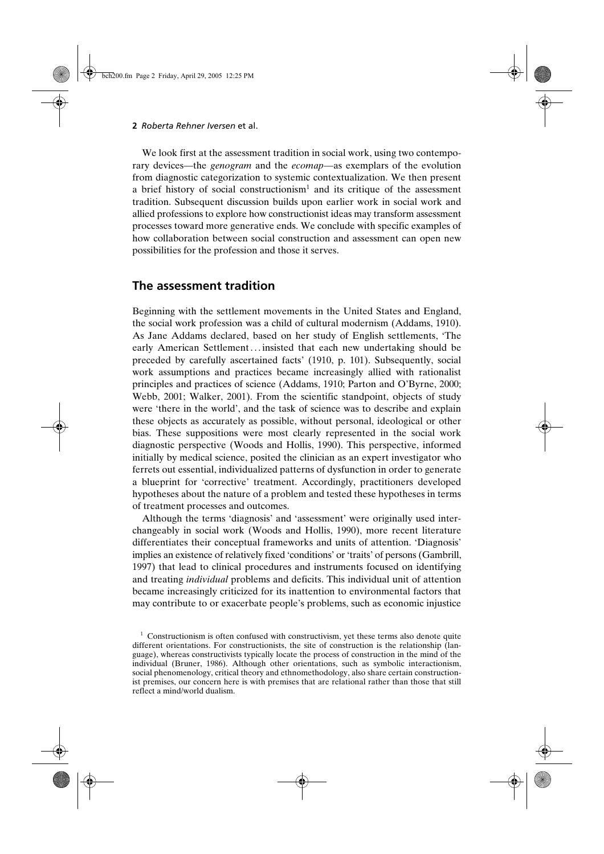We look first at the assessment tradition in social work, using two contemporary devices—the *genogram* and the *ecomap*—as exemplars of the evolution from diagnostic categorization to systemic contextualization. We then present a brief history of social constructionism<sup>1</sup> and its critique of the assessment tradition. Subsequent discussion builds upon earlier work in social work and allied professions to explore how constructionist ideas may transform assessment processes toward more generative ends. We conclude with specific examples of how collaboration between social construction and assessment can open new possibilities for the profession and those it serves.

# **The assessment tradition**

Beginning with the settlement movements in the United States and England, the social work profession was a child of cultural modernism (Addams, 1910). As Jane Addams declared, based on her study of English settlements, 'The early American Settlement. . . insisted that each new undertaking should be preceded by carefully ascertained facts' (1910, p. 101). Subsequently, social work assumptions and practices became increasingly allied with rationalist principles and practices of science (Addams, 1910; Parton and O'Byrne, 2000; Webb, 2001; Walker, 2001). From the scientific standpoint, objects of study were 'there in the world', and the task of science was to describe and explain these objects as accurately as possible, without personal, ideological or other bias. These suppositions were most clearly represented in the social work diagnostic perspective (Woods and Hollis, 1990). This perspective, informed initially by medical science, posited the clinician as an expert investigator who ferrets out essential, individualized patterns of dysfunction in order to generate a blueprint for 'corrective' treatment. Accordingly, practitioners developed hypotheses about the nature of a problem and tested these hypotheses in terms of treatment processes and outcomes.

Although the terms 'diagnosis' and 'assessment' were originally used interchangeably in social work (Woods and Hollis, 1990), more recent literature differentiates their conceptual frameworks and units of attention. 'Diagnosis' implies an existence of relatively fixed 'conditions' or 'traits' of persons (Gambrill, 1997) that lead to clinical procedures and instruments focused on identifying and treating *individual* problems and deficits. This individual unit of attention became increasingly criticized for its inattention to environmental factors that may contribute to or exacerbate people's problems, such as economic injustice

 $1$  Constructionism is often confused with constructivism, yet these terms also denote quite different orientations. For constructionists, the site of construction is the relationship (language), whereas constructivists typically locate the process of construction in the mind of the individual (Bruner, 1986). Although other orientations, such as symbolic interactionism, social phenomenology, critical theory and ethnomethodology, also share certain constructionist premises, our concern here is with premises that are relational rather than those that still reflect a mind/world dualism.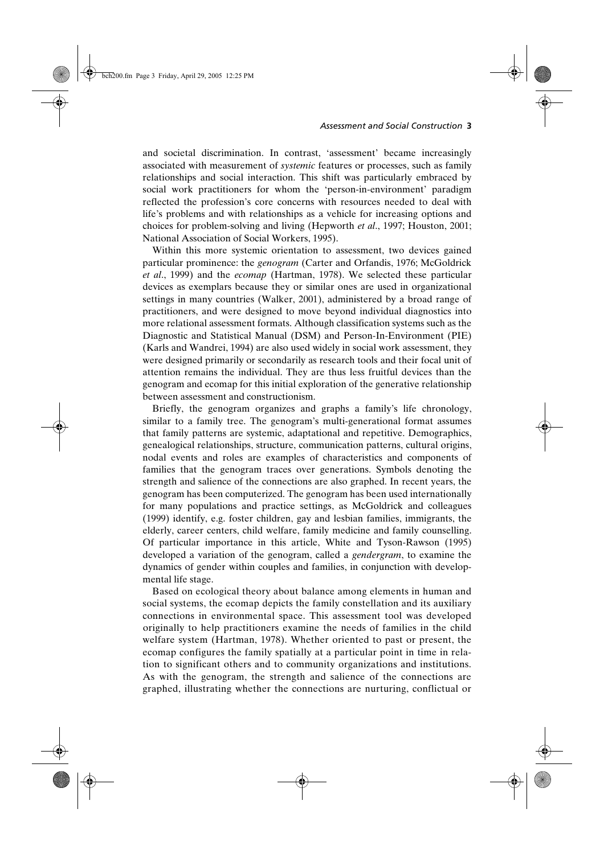and societal discrimination. In contrast, 'assessment' became increasingly associated with measurement of *systemic* features or processes, such as family relationships and social interaction. This shift was particularly embraced by social work practitioners for whom the 'person-in-environment' paradigm reflected the profession's core concerns with resources needed to deal with life's problems and with relationships as a vehicle for increasing options and choices for problem-solving and living (Hepworth *et al*., 1997; Houston, 2001; National Association of Social Workers, 1995).

Within this more systemic orientation to assessment, two devices gained particular prominence: the *genogram* (Carter and Orfandis, 1976; McGoldrick *et al*., 1999) and the *ecomap* (Hartman, 1978). We selected these particular devices as exemplars because they or similar ones are used in organizational settings in many countries (Walker, 2001), administered by a broad range of practitioners, and were designed to move beyond individual diagnostics into more relational assessment formats. Although classification systems such as the Diagnostic and Statistical Manual (DSM) and Person-In-Environment (PIE) (Karls and Wandrei, 1994) are also used widely in social work assessment, they were designed primarily or secondarily as research tools and their focal unit of attention remains the individual. They are thus less fruitful devices than the genogram and ecomap for this initial exploration of the generative relationship between assessment and constructionism.

Briefly, the genogram organizes and graphs a family's life chronology, similar to a family tree. The genogram's multi-generational format assumes that family patterns are systemic, adaptational and repetitive. Demographics, genealogical relationships, structure, communication patterns, cultural origins, nodal events and roles are examples of characteristics and components of families that the genogram traces over generations. Symbols denoting the strength and salience of the connections are also graphed. In recent years, the genogram has been computerized. The genogram has been used internationally for many populations and practice settings, as McGoldrick and colleagues (1999) identify, e.g. foster children, gay and lesbian families, immigrants, the elderly, career centers, child welfare, family medicine and family counselling. Of particular importance in this article, White and Tyson-Rawson (1995) developed a variation of the genogram, called a *gendergram*, to examine the dynamics of gender within couples and families, in conjunction with developmental life stage.

Based on ecological theory about balance among elements in human and social systems, the ecomap depicts the family constellation and its auxiliary connections in environmental space. This assessment tool was developed originally to help practitioners examine the needs of families in the child welfare system (Hartman, 1978). Whether oriented to past or present, the ecomap configures the family spatially at a particular point in time in relation to significant others and to community organizations and institutions. As with the genogram, the strength and salience of the connections are graphed, illustrating whether the connections are nurturing, conflictual or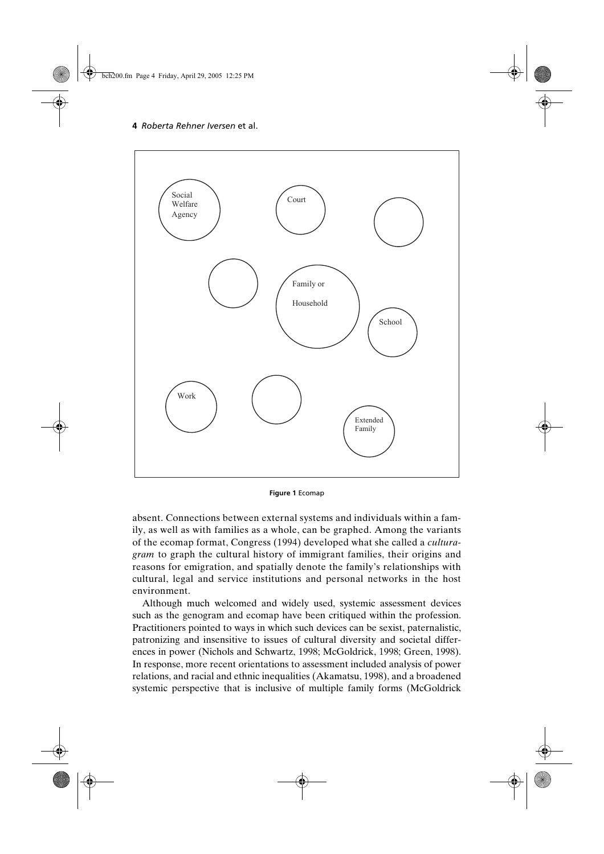

**Figure 1** Ecomap

absent. Connections between external systems and individuals within a family, as well as with families as a whole, can be graphed. Among the variants of the ecomap format, Congress (1994) developed what she called a *culturagram* to graph the cultural history of immigrant families, their origins and reasons for emigration, and spatially denote the family's relationships with cultural, legal and service institutions and personal networks in the host environment.

Although much welcomed and widely used, systemic assessment devices such as the genogram and ecomap have been critiqued within the profession. Practitioners pointed to ways in which such devices can be sexist, paternalistic, patronizing and insensitive to issues of cultural diversity and societal differences in power (Nichols and Schwartz, 1998; McGoldrick, 1998; Green, 1998). In response, more recent orientations to assessment included analysis of power relations, and racial and ethnic inequalities (Akamatsu, 1998), and a broadened systemic perspective that is inclusive of multiple family forms (McGoldrick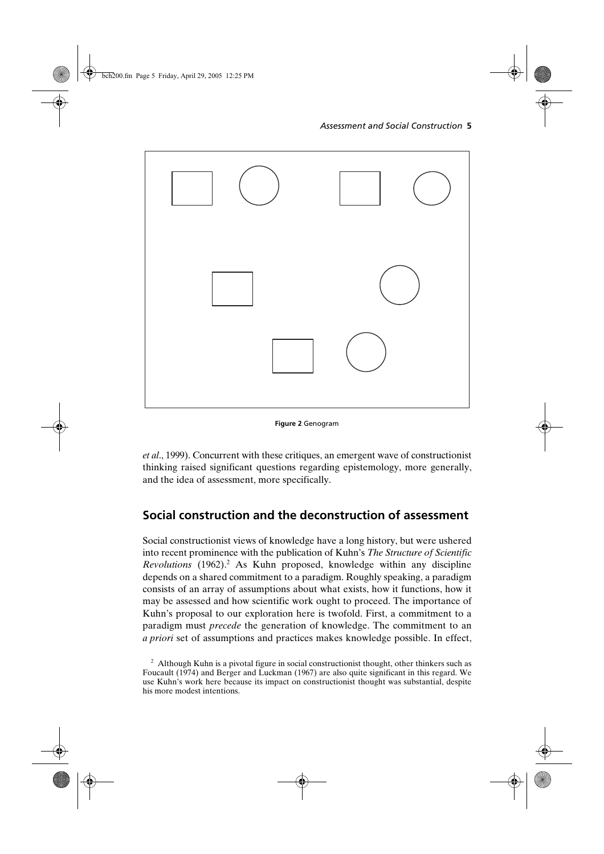

**Figure 2** Genogram

*et al*., 1999). Concurrent with these critiques, an emergent wave of constructionist thinking raised significant questions regarding epistemology, more generally, and the idea of assessment, more specifically.

# **Social construction and the deconstruction of assessment**

Social constructionist views of knowledge have a long history, but were ushered into recent prominence with the publication of Kuhn's *The Structure of Scientific Revolutions* (1962). <sup>2</sup> As Kuhn proposed, knowledge within any discipline depends on a shared commitment to a paradigm. Roughly speaking, a paradigm consists of an array of assumptions about what exists, how it functions, how it may be assessed and how scientific work ought to proceed. The importance of Kuhn's proposal to our exploration here is twofold. First, a commitment to a paradigm must *precede* the generation of knowledge. The commitment to an *a priori* set of assumptions and practices makes knowledge possible. In effect,

<sup>&</sup>lt;sup>2</sup> Although Kuhn is a pivotal figure in social constructionist thought, other thinkers such as Foucault (1974) and Berger and Luckman (1967) are also quite significant in this regard. We use Kuhn's work here because its impact on constructionist thought was substantial, despite his more modest intentions.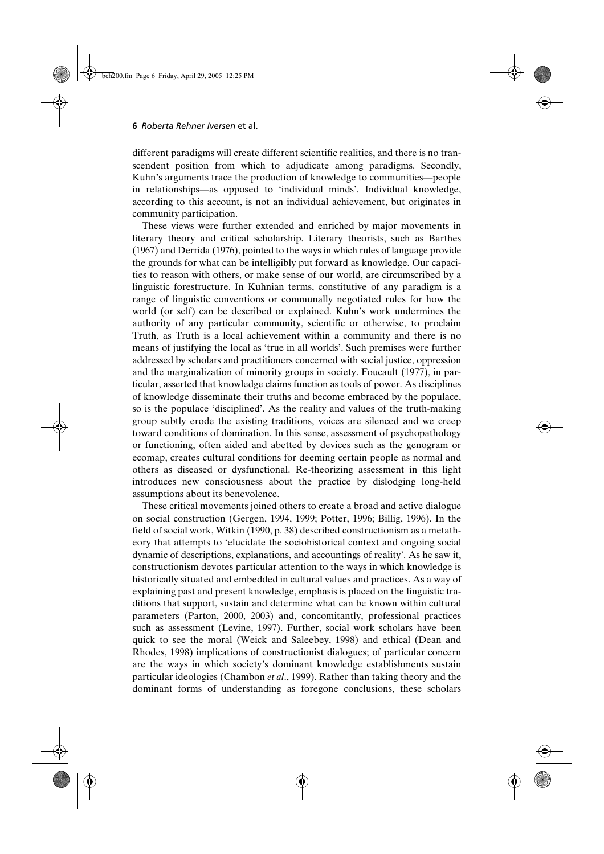different paradigms will create different scientific realities, and there is no transcendent position from which to adjudicate among paradigms. Secondly, Kuhn's arguments trace the production of knowledge to communities—people in relationships—as opposed to 'individual minds'. Individual knowledge, according to this account, is not an individual achievement, but originates in community participation.

These views were further extended and enriched by major movements in literary theory and critical scholarship. Literary theorists, such as Barthes (1967) and Derrida (1976), pointed to the ways in which rules of language provide the grounds for what can be intelligibly put forward as knowledge. Our capacities to reason with others, or make sense of our world, are circumscribed by a linguistic forestructure. In Kuhnian terms, constitutive of any paradigm is a range of linguistic conventions or communally negotiated rules for how the world (or self) can be described or explained. Kuhn's work undermines the authority of any particular community, scientific or otherwise, to proclaim Truth, as Truth is a local achievement within a community and there is no means of justifying the local as 'true in all worlds'. Such premises were further addressed by scholars and practitioners concerned with social justice, oppression and the marginalization of minority groups in society. Foucault (1977), in particular, asserted that knowledge claims function as tools of power. As disciplines of knowledge disseminate their truths and become embraced by the populace, so is the populace 'disciplined'. As the reality and values of the truth-making group subtly erode the existing traditions, voices are silenced and we creep toward conditions of domination. In this sense, assessment of psychopathology or functioning, often aided and abetted by devices such as the genogram or ecomap, creates cultural conditions for deeming certain people as normal and others as diseased or dysfunctional. Re-theorizing assessment in this light introduces new consciousness about the practice by dislodging long-held assumptions about its benevolence.

These critical movements joined others to create a broad and active dialogue on social construction (Gergen, 1994, 1999; Potter, 1996; Billig, 1996). In the field of social work, Witkin (1990, p. 38) described constructionism as a metatheory that attempts to 'elucidate the sociohistorical context and ongoing social dynamic of descriptions, explanations, and accountings of reality'. As he saw it, constructionism devotes particular attention to the ways in which knowledge is historically situated and embedded in cultural values and practices. As a way of explaining past and present knowledge, emphasis is placed on the linguistic traditions that support, sustain and determine what can be known within cultural parameters (Parton, 2000, 2003) and, concomitantly, professional practices such as assessment (Levine, 1997). Further, social work scholars have been quick to see the moral (Weick and Saleebey, 1998) and ethical (Dean and Rhodes, 1998) implications of constructionist dialogues; of particular concern are the ways in which society's dominant knowledge establishments sustain particular ideologies (Chambon *et al*., 1999). Rather than taking theory and the dominant forms of understanding as foregone conclusions, these scholars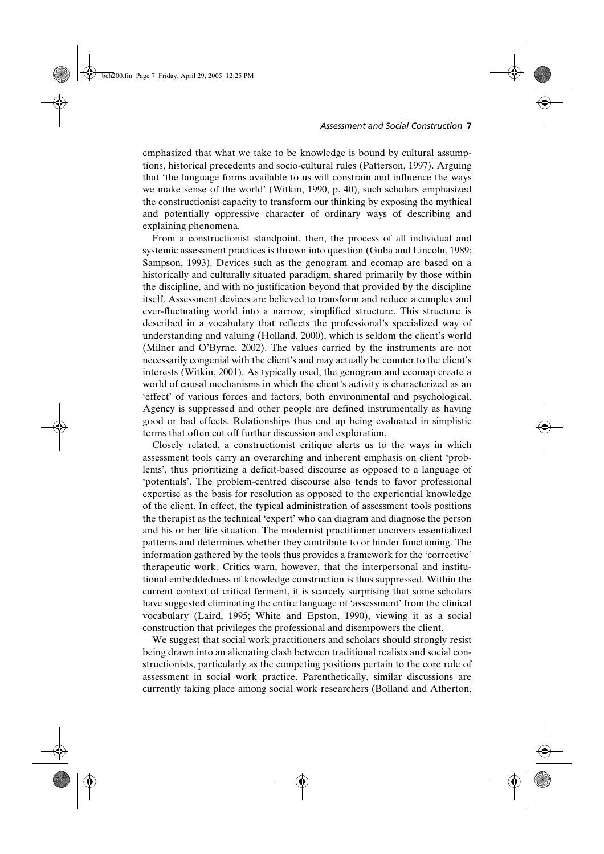emphasized that what we take to be knowledge is bound by cultural assumptions, historical precedents and socio-cultural rules (Patterson, 1997). Arguing that 'the language forms available to us will constrain and influence the ways we make sense of the world' (Witkin, 1990, p. 40), such scholars emphasized the constructionist capacity to transform our thinking by exposing the mythical and potentially oppressive character of ordinary ways of describing and explaining phenomena.

From a constructionist standpoint, then, the process of all individual and systemic assessment practices is thrown into question (Guba and Lincoln, 1989; Sampson, 1993). Devices such as the genogram and ecomap are based on a historically and culturally situated paradigm, shared primarily by those within the discipline, and with no justification beyond that provided by the discipline itself. Assessment devices are believed to transform and reduce a complex and ever-fluctuating world into a narrow, simplified structure. This structure is described in a vocabulary that reflects the professional's specialized way of understanding and valuing (Holland, 2000), which is seldom the client's world (Milner and O'Byrne, 2002). The values carried by the instruments are not necessarily congenial with the client's and may actually be counter to the client's interests (Witkin, 2001). As typically used, the genogram and ecomap create a world of causal mechanisms in which the client's activity is characterized as an 'effect' of various forces and factors, both environmental and psychological. Agency is suppressed and other people are defined instrumentally as having good or bad effects. Relationships thus end up being evaluated in simplistic terms that often cut off further discussion and exploration.

Closely related, a constructionist critique alerts us to the ways in which assessment tools carry an overarching and inherent emphasis on client 'problems', thus prioritizing a deficit-based discourse as opposed to a language of 'potentials'. The problem-centred discourse also tends to favor professional expertise as the basis for resolution as opposed to the experiential knowledge of the client. In effect, the typical administration of assessment tools positions the therapist as the technical 'expert' who can diagram and diagnose the person and his or her life situation. The modernist practitioner uncovers essentialized patterns and determines whether they contribute to or hinder functioning. The information gathered by the tools thus provides a framework for the 'corrective' therapeutic work. Critics warn, however, that the interpersonal and institutional embeddedness of knowledge construction is thus suppressed. Within the current context of critical ferment, it is scarcely surprising that some scholars have suggested eliminating the entire language of 'assessment' from the clinical vocabulary (Laird, 1995; White and Epston, 1990), viewing it as a social construction that privileges the professional and disempowers the client.

We suggest that social work practitioners and scholars should strongly resist being drawn into an alienating clash between traditional realists and social constructionists, particularly as the competing positions pertain to the core role of assessment in social work practice. Parenthetically, similar discussions are currently taking place among social work researchers (Bolland and Atherton,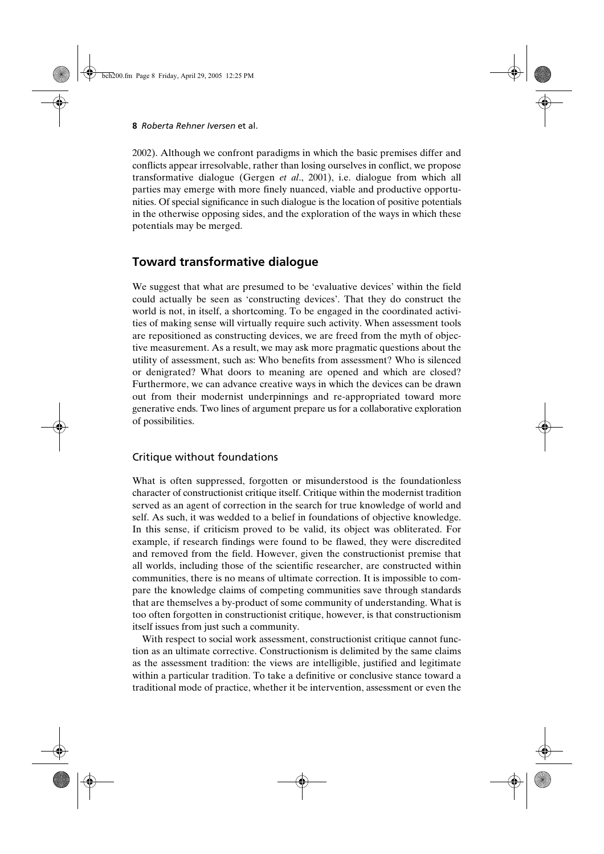2002). Although we confront paradigms in which the basic premises differ and conflicts appear irresolvable, rather than losing ourselves in conflict, we propose transformative dialogue (Gergen *et al*., 2001), i.e. dialogue from which all parties may emerge with more finely nuanced, viable and productive opportunities. Of special significance in such dialogue is the location of positive potentials in the otherwise opposing sides, and the exploration of the ways in which these potentials may be merged.

# **Toward transformative dialogue**

We suggest that what are presumed to be 'evaluative devices' within the field could actually be seen as 'constructing devices'. That they do construct the world is not, in itself, a shortcoming. To be engaged in the coordinated activities of making sense will virtually require such activity. When assessment tools are repositioned as constructing devices, we are freed from the myth of objective measurement. As a result, we may ask more pragmatic questions about the utility of assessment, such as: Who benefits from assessment? Who is silenced or denigrated? What doors to meaning are opened and which are closed? Furthermore, we can advance creative ways in which the devices can be drawn out from their modernist underpinnings and re-appropriated toward more generative ends. Two lines of argument prepare us for a collaborative exploration of possibilities.

### Critique without foundations

What is often suppressed, forgotten or misunderstood is the foundationless character of constructionist critique itself. Critique within the modernist tradition served as an agent of correction in the search for true knowledge of world and self. As such, it was wedded to a belief in foundations of objective knowledge. In this sense, if criticism proved to be valid, its object was obliterated. For example, if research findings were found to be flawed, they were discredited and removed from the field. However, given the constructionist premise that all worlds, including those of the scientific researcher, are constructed within communities, there is no means of ultimate correction. It is impossible to compare the knowledge claims of competing communities save through standards that are themselves a by-product of some community of understanding. What is too often forgotten in constructionist critique, however, is that constructionism itself issues from just such a community.

With respect to social work assessment, constructionist critique cannot function as an ultimate corrective. Constructionism is delimited by the same claims as the assessment tradition: the views are intelligible, justified and legitimate within a particular tradition. To take a definitive or conclusive stance toward a traditional mode of practice, whether it be intervention, assessment or even the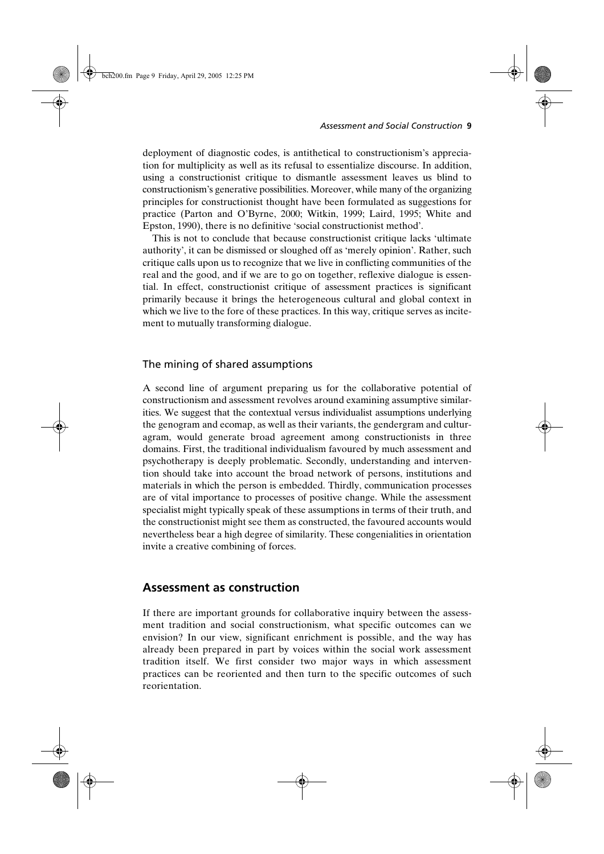bch200.fm Page 9 Friday, April 29, 2005 12:25 PM

#### *Assessment and Social Construction* **9**

deployment of diagnostic codes, is antithetical to constructionism's appreciation for multiplicity as well as its refusal to essentialize discourse. In addition, using a constructionist critique to dismantle assessment leaves us blind to constructionism's generative possibilities. Moreover, while many of the organizing principles for constructionist thought have been formulated as suggestions for practice (Parton and O'Byrne, 2000; Witkin, 1999; Laird, 1995; White and Epston, 1990), there is no definitive 'social constructionist method'.

This is not to conclude that because constructionist critique lacks 'ultimate authority', it can be dismissed or sloughed off as 'merely opinion'. Rather, such critique calls upon us to recognize that we live in conflicting communities of the real and the good, and if we are to go on together, reflexive dialogue is essential. In effect, constructionist critique of assessment practices is significant primarily because it brings the heterogeneous cultural and global context in which we live to the fore of these practices. In this way, critique serves as incitement to mutually transforming dialogue.

## The mining of shared assumptions

A second line of argument preparing us for the collaborative potential of constructionism and assessment revolves around examining assumptive similarities. We suggest that the contextual versus individualist assumptions underlying the genogram and ecomap, as well as their variants, the gendergram and culturagram, would generate broad agreement among constructionists in three domains. First, the traditional individualism favoured by much assessment and psychotherapy is deeply problematic. Secondly, understanding and intervention should take into account the broad network of persons, institutions and materials in which the person is embedded. Thirdly, communication processes are of vital importance to processes of positive change. While the assessment specialist might typically speak of these assumptions in terms of their truth, and the constructionist might see them as constructed, the favoured accounts would nevertheless bear a high degree of similarity. These congenialities in orientation invite a creative combining of forces.

# **Assessment as construction**

If there are important grounds for collaborative inquiry between the assessment tradition and social constructionism, what specific outcomes can we envision? In our view, significant enrichment is possible, and the way has already been prepared in part by voices within the social work assessment tradition itself. We first consider two major ways in which assessment practices can be reoriented and then turn to the specific outcomes of such reorientation.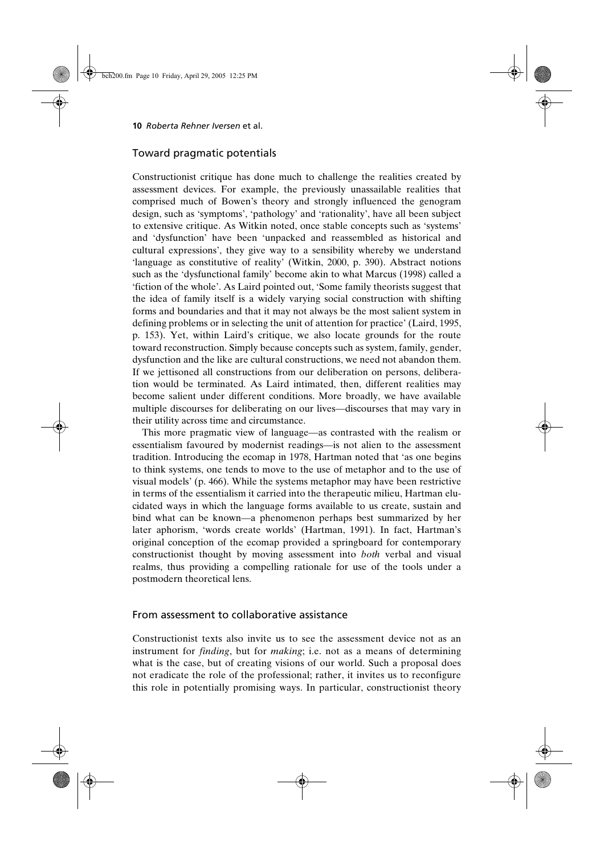# Toward pragmatic potentials

Constructionist critique has done much to challenge the realities created by assessment devices. For example, the previously unassailable realities that comprised much of Bowen's theory and strongly influenced the genogram design, such as 'symptoms', 'pathology' and 'rationality', have all been subject to extensive critique. As Witkin noted, once stable concepts such as 'systems' and 'dysfunction' have been 'unpacked and reassembled as historical and cultural expressions', they give way to a sensibility whereby we understand 'language as constitutive of reality' (Witkin, 2000, p. 390). Abstract notions such as the 'dysfunctional family' become akin to what Marcus (1998) called a 'fiction of the whole'. As Laird pointed out, 'Some family theorists suggest that the idea of family itself is a widely varying social construction with shifting forms and boundaries and that it may not always be the most salient system in defining problems or in selecting the unit of attention for practice' (Laird, 1995, p. 153). Yet, within Laird's critique, we also locate grounds for the route toward reconstruction. Simply because concepts such as system, family, gender, dysfunction and the like are cultural constructions, we need not abandon them. If we jettisoned all constructions from our deliberation on persons, deliberation would be terminated. As Laird intimated, then, different realities may become salient under different conditions. More broadly, we have available multiple discourses for deliberating on our lives—discourses that may vary in their utility across time and circumstance.

This more pragmatic view of language—as contrasted with the realism or essentialism favoured by modernist readings—is not alien to the assessment tradition. Introducing the ecomap in 1978, Hartman noted that 'as one begins to think systems, one tends to move to the use of metaphor and to the use of visual models' (p. 466). While the systems metaphor may have been restrictive in terms of the essentialism it carried into the therapeutic milieu, Hartman elucidated ways in which the language forms available to us create, sustain and bind what can be known—a phenomenon perhaps best summarized by her later aphorism, 'words create worlds' (Hartman, 1991). In fact, Hartman's original conception of the ecomap provided a springboard for contemporary constructionist thought by moving assessment into *both* verbal and visual realms, thus providing a compelling rationale for use of the tools under a postmodern theoretical lens.

### From assessment to collaborative assistance

Constructionist texts also invite us to see the assessment device not as an instrument for *finding*, but for *making*; i.e. not as a means of determining what is the case, but of creating visions of our world. Such a proposal does not eradicate the role of the professional; rather, it invites us to reconfigure this role in potentially promising ways. In particular, constructionist theory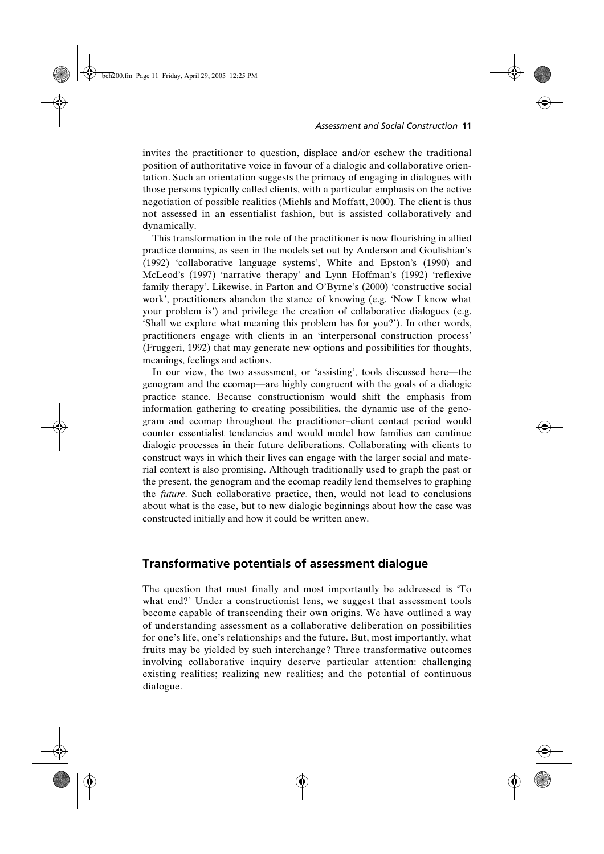bch200.fm Page 11 Friday, April 29, 2005 12:25 PM

#### *Assessment and Social Construction* **11**

invites the practitioner to question, displace and/or eschew the traditional position of authoritative voice in favour of a dialogic and collaborative orientation. Such an orientation suggests the primacy of engaging in dialogues with those persons typically called clients, with a particular emphasis on the active negotiation of possible realities (Miehls and Moffatt, 2000). The client is thus not assessed in an essentialist fashion, but is assisted collaboratively and dynamically.

This transformation in the role of the practitioner is now flourishing in allied practice domains, as seen in the models set out by Anderson and Goulishian's (1992) 'collaborative language systems', White and Epston's (1990) and McLeod's (1997) 'narrative therapy' and Lynn Hoffman's (1992) 'reflexive family therapy'. Likewise, in Parton and O'Byrne's (2000) 'constructive social work', practitioners abandon the stance of knowing (e.g. 'Now I know what your problem is') and privilege the creation of collaborative dialogues (e.g. 'Shall we explore what meaning this problem has for you?'). In other words, practitioners engage with clients in an 'interpersonal construction process' (Fruggeri, 1992) that may generate new options and possibilities for thoughts, meanings, feelings and actions.

In our view, the two assessment, or 'assisting', tools discussed here—the genogram and the ecomap—are highly congruent with the goals of a dialogic practice stance. Because constructionism would shift the emphasis from information gathering to creating possibilities, the dynamic use of the genogram and ecomap throughout the practitioner–client contact period would counter essentialist tendencies and would model how families can continue dialogic processes in their future deliberations. Collaborating with clients to construct ways in which their lives can engage with the larger social and material context is also promising. Although traditionally used to graph the past or the present, the genogram and the ecomap readily lend themselves to graphing the *future*. Such collaborative practice, then, would not lead to conclusions about what is the case, but to new dialogic beginnings about how the case was constructed initially and how it could be written anew.

# **Transformative potentials of assessment dialogue**

The question that must finally and most importantly be addressed is 'To what end?' Under a constructionist lens, we suggest that assessment tools become capable of transcending their own origins. We have outlined a way of understanding assessment as a collaborative deliberation on possibilities for one's life, one's relationships and the future. But, most importantly, what fruits may be yielded by such interchange? Three transformative outcomes involving collaborative inquiry deserve particular attention: challenging existing realities; realizing new realities; and the potential of continuous dialogue.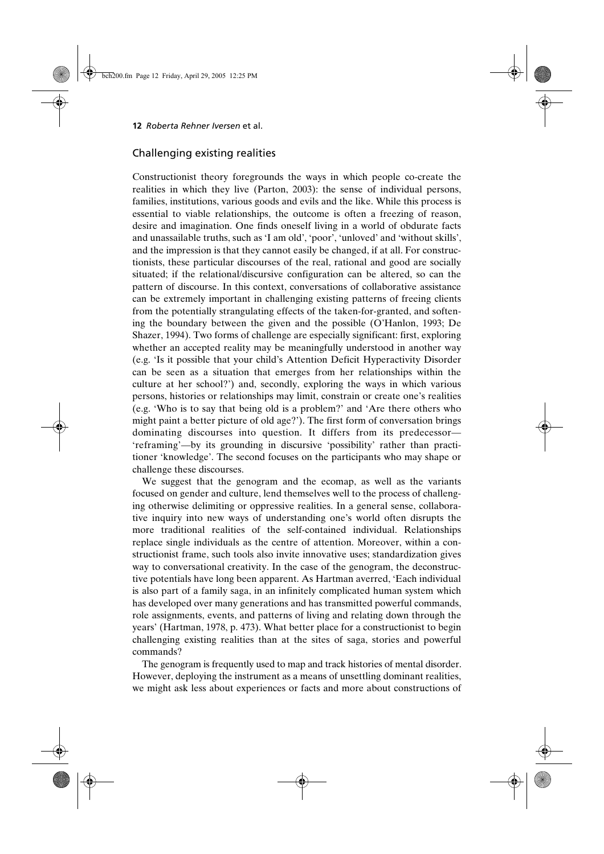## Challenging existing realities

Constructionist theory foregrounds the ways in which people co-create the realities in which they live (Parton, 2003): the sense of individual persons, families, institutions, various goods and evils and the like. While this process is essential to viable relationships, the outcome is often a freezing of reason, desire and imagination. One finds oneself living in a world of obdurate facts and unassailable truths, such as 'I am old', 'poor', 'unloved' and 'without skills', and the impression is that they cannot easily be changed, if at all. For constructionists, these particular discourses of the real, rational and good are socially situated; if the relational/discursive configuration can be altered, so can the pattern of discourse. In this context, conversations of collaborative assistance can be extremely important in challenging existing patterns of freeing clients from the potentially strangulating effects of the taken-for-granted, and softening the boundary between the given and the possible (O'Hanlon, 1993; De Shazer, 1994). Two forms of challenge are especially significant: first, exploring whether an accepted reality may be meaningfully understood in another way (e.g. 'Is it possible that your child's Attention Deficit Hyperactivity Disorder can be seen as a situation that emerges from her relationships within the culture at her school?') and, secondly, exploring the ways in which various persons, histories or relationships may limit, constrain or create one's realities (e.g. 'Who is to say that being old is a problem?' and 'Are there others who might paint a better picture of old age?'). The first form of conversation brings dominating discourses into question. It differs from its predecessor— 'reframing'—by its grounding in discursive 'possibility' rather than practitioner 'knowledge'. The second focuses on the participants who may shape or challenge these discourses.

We suggest that the genogram and the ecomap, as well as the variants focused on gender and culture, lend themselves well to the process of challenging otherwise delimiting or oppressive realities. In a general sense, collaborative inquiry into new ways of understanding one's world often disrupts the more traditional realities of the self-contained individual. Relationships replace single individuals as the centre of attention. Moreover, within a constructionist frame, such tools also invite innovative uses; standardization gives way to conversational creativity. In the case of the genogram, the deconstructive potentials have long been apparent. As Hartman averred, 'Each individual is also part of a family saga, in an infinitely complicated human system which has developed over many generations and has transmitted powerful commands, role assignments, events, and patterns of living and relating down through the years' (Hartman, 1978, p. 473). What better place for a constructionist to begin challenging existing realities than at the sites of saga, stories and powerful commands?

The genogram is frequently used to map and track histories of mental disorder. However, deploying the instrument as a means of unsettling dominant realities, we might ask less about experiences or facts and more about constructions of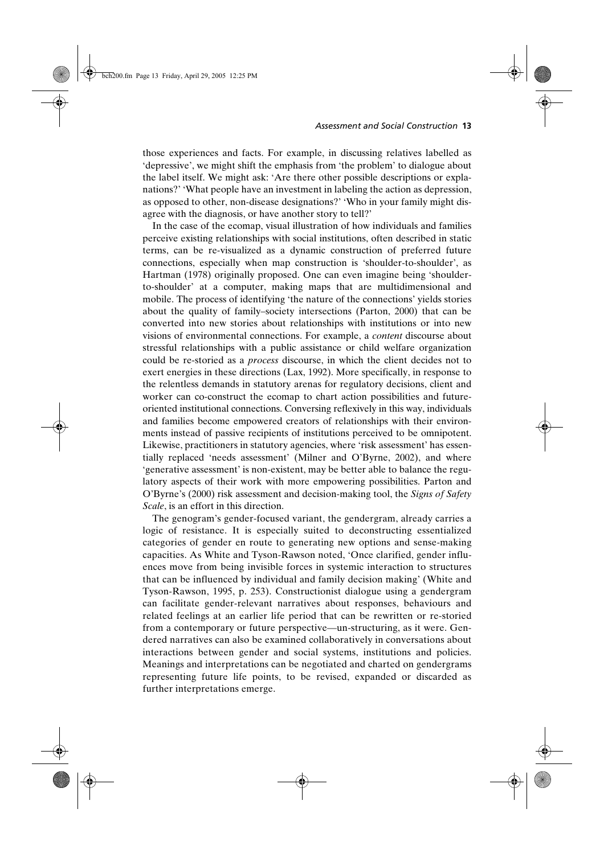those experiences and facts. For example, in discussing relatives labelled as 'depressive', we might shift the emphasis from 'the problem' to dialogue about the label itself. We might ask: 'Are there other possible descriptions or explanations?' 'What people have an investment in labeling the action as depression, as opposed to other, non-disease designations?' 'Who in your family might disagree with the diagnosis, or have another story to tell?'

In the case of the ecomap, visual illustration of how individuals and families perceive existing relationships with social institutions, often described in static terms, can be re-visualized as a dynamic construction of preferred future connections, especially when map construction is 'shoulder-to-shoulder', as Hartman (1978) originally proposed. One can even imagine being 'shoulderto-shoulder' at a computer, making maps that are multidimensional and mobile. The process of identifying 'the nature of the connections' yields stories about the quality of family–society intersections (Parton, 2000) that can be converted into new stories about relationships with institutions or into new visions of environmental connections. For example, a *content* discourse about stressful relationships with a public assistance or child welfare organization could be re-storied as a *process* discourse, in which the client decides not to exert energies in these directions (Lax, 1992). More specifically, in response to the relentless demands in statutory arenas for regulatory decisions, client and worker can co-construct the ecomap to chart action possibilities and futureoriented institutional connections. Conversing reflexively in this way, individuals and families become empowered creators of relationships with their environments instead of passive recipients of institutions perceived to be omnipotent. Likewise, practitioners in statutory agencies, where 'risk assessment' has essentially replaced 'needs assessment' (Milner and O'Byrne, 2002), and where 'generative assessment' is non-existent, may be better able to balance the regulatory aspects of their work with more empowering possibilities. Parton and O'Byrne's (2000) risk assessment and decision-making tool, the *Signs of Safety Scale*, is an effort in this direction.

The genogram's gender-focused variant, the gendergram, already carries a logic of resistance. It is especially suited to deconstructing essentialized categories of gender en route to generating new options and sense-making capacities. As White and Tyson-Rawson noted, 'Once clarified, gender influences move from being invisible forces in systemic interaction to structures that can be influenced by individual and family decision making' (White and Tyson-Rawson, 1995, p. 253). Constructionist dialogue using a gendergram can facilitate gender-relevant narratives about responses, behaviours and related feelings at an earlier life period that can be rewritten or re-storied from a contemporary or future perspective—un-structuring, as it were. Gendered narratives can also be examined collaboratively in conversations about interactions between gender and social systems, institutions and policies. Meanings and interpretations can be negotiated and charted on gendergrams representing future life points, to be revised, expanded or discarded as further interpretations emerge.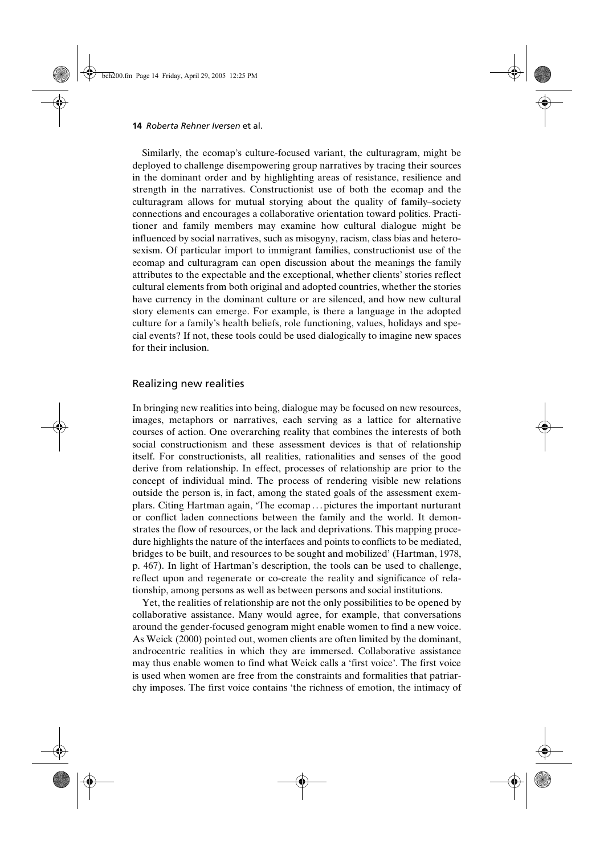Similarly, the ecomap's culture-focused variant, the culturagram, might be deployed to challenge disempowering group narratives by tracing their sources in the dominant order and by highlighting areas of resistance, resilience and strength in the narratives. Constructionist use of both the ecomap and the culturagram allows for mutual storying about the quality of family–society connections and encourages a collaborative orientation toward politics. Practitioner and family members may examine how cultural dialogue might be influenced by social narratives, such as misogyny, racism, class bias and heterosexism. Of particular import to immigrant families, constructionist use of the ecomap and culturagram can open discussion about the meanings the family attributes to the expectable and the exceptional, whether clients' stories reflect cultural elements from both original and adopted countries, whether the stories have currency in the dominant culture or are silenced, and how new cultural story elements can emerge. For example, is there a language in the adopted culture for a family's health beliefs, role functioning, values, holidays and special events? If not, these tools could be used dialogically to imagine new spaces for their inclusion.

## Realizing new realities

In bringing new realities into being, dialogue may be focused on new resources, images, metaphors or narratives, each serving as a lattice for alternative courses of action. One overarching reality that combines the interests of both social constructionism and these assessment devices is that of relationship itself. For constructionists, all realities, rationalities and senses of the good derive from relationship. In effect, processes of relationship are prior to the concept of individual mind. The process of rendering visible new relations outside the person is, in fact, among the stated goals of the assessment exemplars. Citing Hartman again, 'The ecomap . . . pictures the important nurturant or conflict laden connections between the family and the world. It demonstrates the flow of resources, or the lack and deprivations. This mapping procedure highlights the nature of the interfaces and points to conflicts to be mediated, bridges to be built, and resources to be sought and mobilized' (Hartman, 1978, p. 467). In light of Hartman's description, the tools can be used to challenge, reflect upon and regenerate or co-create the reality and significance of relationship, among persons as well as between persons and social institutions.

Yet, the realities of relationship are not the only possibilities to be opened by collaborative assistance. Many would agree, for example, that conversations around the gender-focused genogram might enable women to find a new voice. As Weick (2000) pointed out, women clients are often limited by the dominant, androcentric realities in which they are immersed. Collaborative assistance may thus enable women to find what Weick calls a 'first voice'. The first voice is used when women are free from the constraints and formalities that patriarchy imposes. The first voice contains 'the richness of emotion, the intimacy of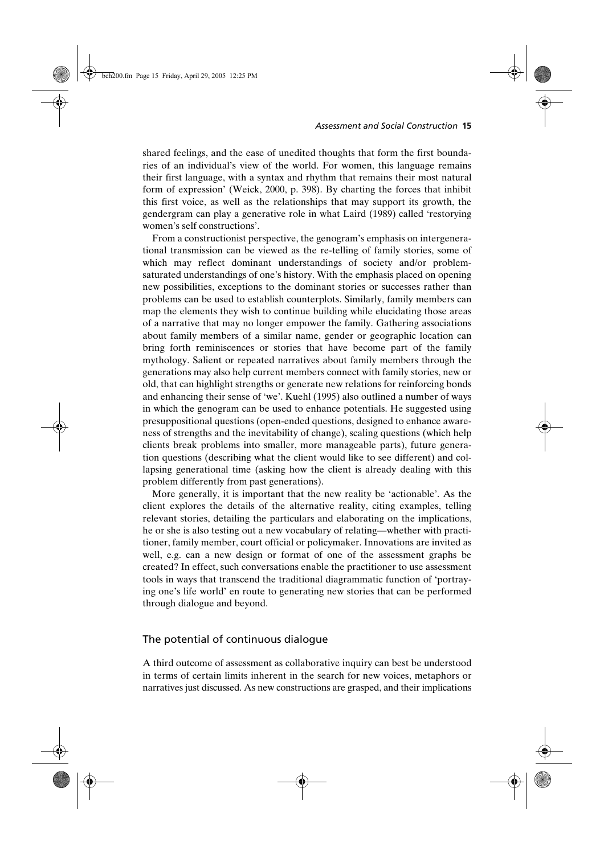shared feelings, and the ease of unedited thoughts that form the first boundaries of an individual's view of the world. For women, this language remains their first language, with a syntax and rhythm that remains their most natural form of expression' (Weick, 2000, p. 398). By charting the forces that inhibit this first voice, as well as the relationships that may support its growth, the gendergram can play a generative role in what Laird (1989) called 'restorying women's self constructions'.

From a constructionist perspective, the genogram's emphasis on intergenerational transmission can be viewed as the re-telling of family stories, some of which may reflect dominant understandings of society and/or problemsaturated understandings of one's history. With the emphasis placed on opening new possibilities, exceptions to the dominant stories or successes rather than problems can be used to establish counterplots. Similarly, family members can map the elements they wish to continue building while elucidating those areas of a narrative that may no longer empower the family. Gathering associations about family members of a similar name, gender or geographic location can bring forth reminiscences or stories that have become part of the family mythology. Salient or repeated narratives about family members through the generations may also help current members connect with family stories, new or old, that can highlight strengths or generate new relations for reinforcing bonds and enhancing their sense of 'we'. Kuehl (1995) also outlined a number of ways in which the genogram can be used to enhance potentials. He suggested using presuppositional questions (open-ended questions, designed to enhance awareness of strengths and the inevitability of change), scaling questions (which help clients break problems into smaller, more manageable parts), future generation questions (describing what the client would like to see different) and collapsing generational time (asking how the client is already dealing with this problem differently from past generations).

More generally, it is important that the new reality be 'actionable'. As the client explores the details of the alternative reality, citing examples, telling relevant stories, detailing the particulars and elaborating on the implications, he or she is also testing out a new vocabulary of relating—whether with practitioner, family member, court official or policymaker. Innovations are invited as well, e.g. can a new design or format of one of the assessment graphs be created? In effect, such conversations enable the practitioner to use assessment tools in ways that transcend the traditional diagrammatic function of 'portraying one's life world' en route to generating new stories that can be performed through dialogue and beyond.

## The potential of continuous dialogue

A third outcome of assessment as collaborative inquiry can best be understood in terms of certain limits inherent in the search for new voices, metaphors or narratives just discussed. As new constructions are grasped, and their implications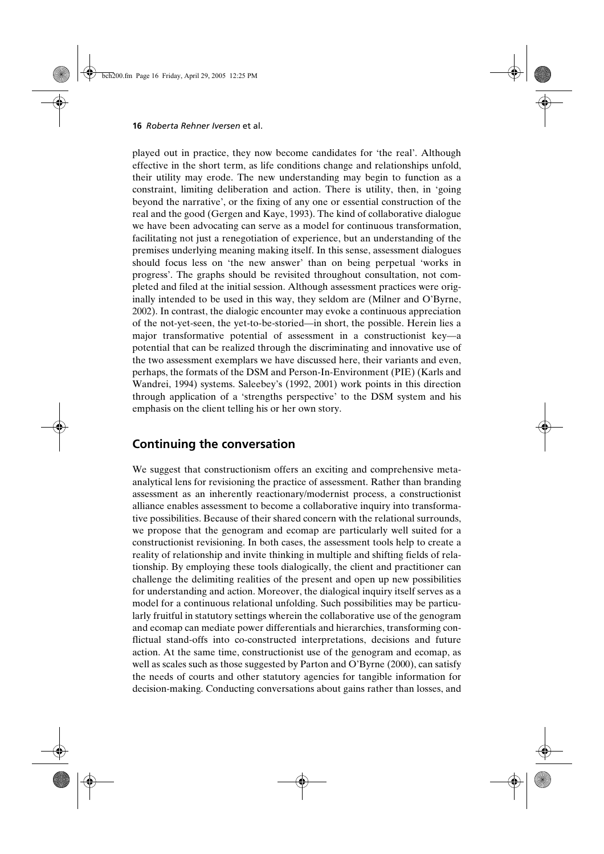played out in practice, they now become candidates for 'the real'. Although effective in the short term, as life conditions change and relationships unfold, their utility may erode. The new understanding may begin to function as a constraint, limiting deliberation and action. There is utility, then, in 'going beyond the narrative', or the fixing of any one or essential construction of the real and the good (Gergen and Kaye, 1993). The kind of collaborative dialogue we have been advocating can serve as a model for continuous transformation, facilitating not just a renegotiation of experience, but an understanding of the premises underlying meaning making itself. In this sense, assessment dialogues should focus less on 'the new answer' than on being perpetual 'works in progress'. The graphs should be revisited throughout consultation, not completed and filed at the initial session. Although assessment practices were originally intended to be used in this way, they seldom are (Milner and O'Byrne, 2002). In contrast, the dialogic encounter may evoke a continuous appreciation of the not-yet-seen, the yet-to-be-storied—in short, the possible. Herein lies a major transformative potential of assessment in a constructionist key—a potential that can be realized through the discriminating and innovative use of the two assessment exemplars we have discussed here, their variants and even, perhaps, the formats of the DSM and Person-In-Environment (PIE) (Karls and Wandrei, 1994) systems. Saleebey's (1992, 2001) work points in this direction through application of a 'strengths perspective' to the DSM system and his emphasis on the client telling his or her own story.

# **Continuing the conversation**

We suggest that constructionism offers an exciting and comprehensive metaanalytical lens for revisioning the practice of assessment. Rather than branding assessment as an inherently reactionary/modernist process, a constructionist alliance enables assessment to become a collaborative inquiry into transformative possibilities. Because of their shared concern with the relational surrounds, we propose that the genogram and ecomap are particularly well suited for a constructionist revisioning. In both cases, the assessment tools help to create a reality of relationship and invite thinking in multiple and shifting fields of relationship. By employing these tools dialogically, the client and practitioner can challenge the delimiting realities of the present and open up new possibilities for understanding and action. Moreover, the dialogical inquiry itself serves as a model for a continuous relational unfolding. Such possibilities may be particularly fruitful in statutory settings wherein the collaborative use of the genogram and ecomap can mediate power differentials and hierarchies, transforming conflictual stand-offs into co-constructed interpretations, decisions and future action. At the same time, constructionist use of the genogram and ecomap, as well as scales such as those suggested by Parton and O'Byrne (2000), can satisfy the needs of courts and other statutory agencies for tangible information for decision-making. Conducting conversations about gains rather than losses, and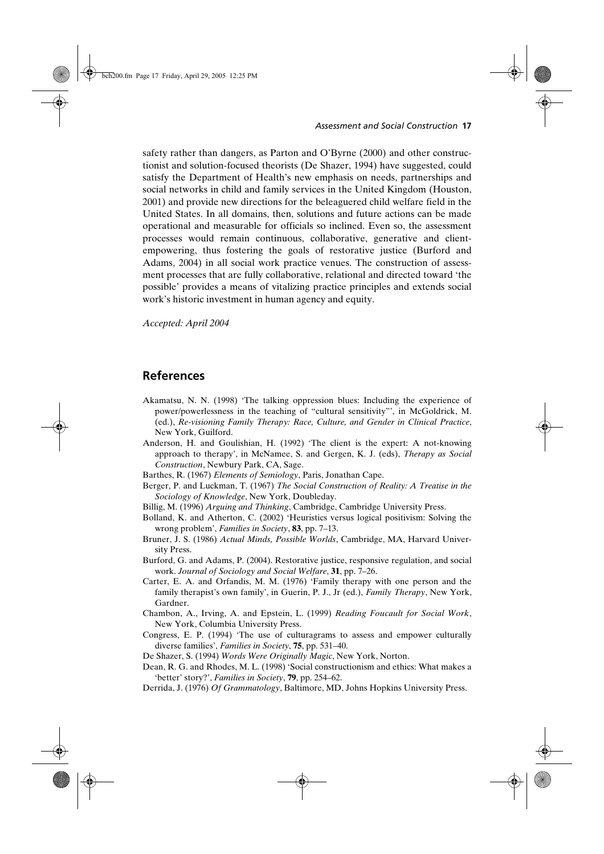safety rather than dangers, as Parton and O'Byrne (2000) and other constructionist and solution-focused theorists (De Shazer, 1994) have suggested, could satisfy the Department of Health's new emphasis on needs, partnerships and social networks in child and family services in the United Kingdom (Houston, 2001) and provide new directions for the beleaguered child welfare field in the United States. In all domains, then, solutions and future actions can be made operational and measurable for officials so inclined. Even so, the assessment processes would remain continuous, collaborative, generative and clientempowering, thus fostering the goals of restorative justice (Burford and Adams, 2004) in all social work practice venues. The construction of assessment processes that are fully collaborative, relational and directed toward 'the possible' provides a means of vitalizing practice principles and extends social work's historic investment in human agency and equity.

*Accepted: April 2004*

# **References**

- Akamatsu, N. N. (1998) 'The talking oppression blues: Including the experience of power/powerlessness in the teaching of "cultural sensitivity"', in McGoldrick, M. (ed.), *Re-visioning Family Therapy: Race, Culture, and Gender in Clinical Practice*, New York, Guilford.
- Anderson, H. and Goulishian, H. (1992) 'The client is the expert: A not-knowing approach to therapy', in McNamee, S. and Gergen, K. J. (eds), *Therapy as Social Construction*, Newbury Park, CA, Sage.
- Barthes, R. (1967) *Elements of Semiology*, Paris, Jonathan Cape.
- Berger, P. and Luckman, T. (1967) *The Social Construction of Reality: A Treatise in the Sociology of Knowledge*, New York, Doubleday.
- Billig, M. (1996) *Arguing and Thinking*, Cambridge, Cambridge University Press.
- Bolland, K. and Atherton, C. (2002) 'Heuristics versus logical positivism: Solving the wrong problem', *Families in Society*, **83**, pp. 7–13.
- Bruner, J. S. (1986) *Actual Minds, Possible Worlds*, Cambridge, MA, Harvard University Press.
- Burford, G. and Adams, P. (2004). Restorative justice, responsive regulation, and social work. *Journal of Sociology and Social Welfare*, **31**, pp. 7–26.
- Carter, E. A. and Orfandis, M. M. (1976) 'Family therapy with one person and the family therapist's own family', in Guerin, P. J., Jr (ed.), *Family Therapy*, New York, Gardner.
- Chambon, A., Irving, A. and Epstein, L. (1999) *Reading Foucault for Social Work*, New York, Columbia University Press.
- Congress, E. P. (1994) 'The use of culturagrams to assess and empower culturally diverse families', *Families in Society*, **75**, pp. 531–40.
- De Shazer, S. (1994) *Words Were Originally Magic*, New York, Norton.
- Dean, R. G. and Rhodes, M. L. (1998) 'Social constructionism and ethics: What makes a 'better' story?', *Families in Society*, **79**, pp. 254–62.

Derrida, J. (1976) *Of Grammatology*, Baltimore, MD, Johns Hopkins University Press.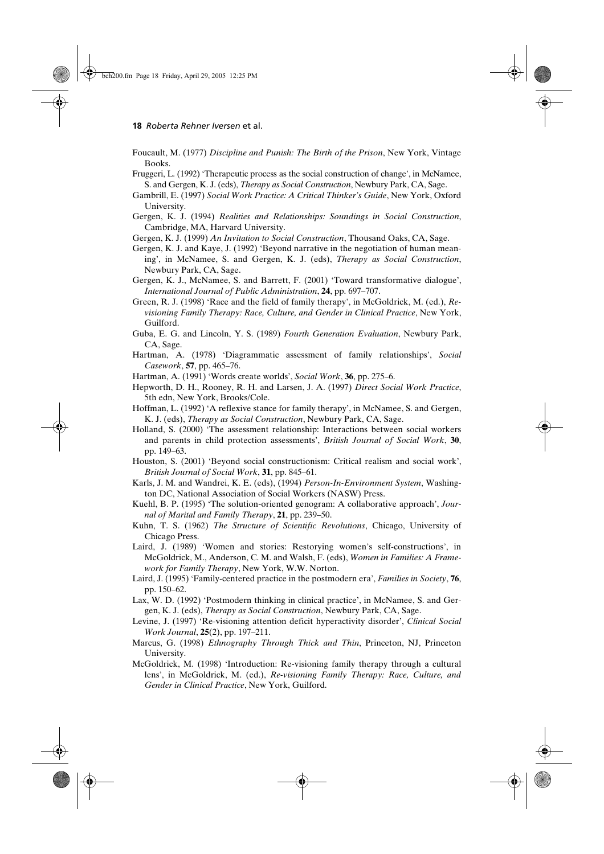- Foucault, M. (1977) *Discipline and Punish: The Birth of the Prison*, New York, Vintage Books.
- Fruggeri, L. (1992) 'Therapeutic process as the social construction of change', in McNamee, S. and Gergen, K. J. (eds), *Therapy as Social Construction*, Newbury Park, CA, Sage.
- Gambrill, E. (1997) *Social Work Practice: A Critical Thinker's Guide*, New York, Oxford University.
- Gergen, K. J. (1994) *Realities and Relationships: Soundings in Social Construction*, Cambridge, MA, Harvard University.
- Gergen, K. J. (1999) *An Invitation to Social Construction*, Thousand Oaks, CA, Sage.
- Gergen, K. J. and Kaye, J. (1992) 'Beyond narrative in the negotiation of human meaning', in McNamee, S. and Gergen, K. J. (eds), *Therapy as Social Construction*, Newbury Park, CA, Sage.
- Gergen, K. J., McNamee, S. and Barrett, F. (2001) 'Toward transformative dialogue', *International Journal of Public Administration*, **24**, pp. 697–707.
- Green, R. J. (1998) 'Race and the field of family therapy', in McGoldrick, M. (ed.), *Revisioning Family Therapy: Race, Culture, and Gender in Clinical Practice*, New York, Guilford.
- Guba, E. G. and Lincoln, Y. S. (1989) *Fourth Generation Evaluation*, Newbury Park, CA, Sage.
- Hartman, A. (1978) 'Diagrammatic assessment of family relationships', *Social Casework*, **57**, pp. 465–76.
- Hartman, A. (1991) 'Words create worlds', *Social Work*, **36**, pp. 275–6.
- Hepworth, D. H., Rooney, R. H. and Larsen, J. A. (1997) *Direct Social Work Practice*, 5th edn, New York, Brooks/Cole.
- Hoffman, L. (1992) 'A reflexive stance for family therapy', in McNamee, S. and Gergen, K. J. (eds), *Therapy as Social Construction*, Newbury Park, CA, Sage.
- Holland, S. (2000) 'The assessment relationship: Interactions between social workers and parents in child protection assessments', *British Journal of Social Work*, **30**, pp. 149–63.
- Houston, S. (2001) 'Beyond social constructionism: Critical realism and social work', *British Journal of Social Work*, **31**, pp. 845–61.
- Karls, J. M. and Wandrei, K. E. (eds), (1994) *Person-In-Environment System*, Washington DC, National Association of Social Workers (NASW) Press.
- Kuehl, B. P. (1995) 'The solution-oriented genogram: A collaborative approach', *Journal of Marital and Family Therapy*, **21**, pp. 239–50.
- Kuhn, T. S. (1962) *The Structure of Scientific Revolutions*, Chicago, University of Chicago Press.
- Laird, J. (1989) 'Women and stories: Restorying women's self-constructions', in McGoldrick, M., Anderson, C. M. and Walsh, F. (eds), *Women in Families: A Framework for Family Therapy*, New York, W.W. Norton.
- Laird, J. (1995) 'Family-centered practice in the postmodern era', *Families in Society*, **76**, pp. 150–62.
- Lax, W. D. (1992) 'Postmodern thinking in clinical practice', in McNamee, S. and Gergen, K. J. (eds), *Therapy as Social Construction*, Newbury Park, CA, Sage.
- Levine, J. (1997) 'Re-visioning attention deficit hyperactivity disorder', *Clinical Social Work Journal*, **25**(2), pp. 197–211.
- Marcus, G. (1998) *Ethnography Through Thick and Thin*, Princeton, NJ, Princeton University.
- McGoldrick, M. (1998) 'Introduction: Re-visioning family therapy through a cultural lens', in McGoldrick, M. (ed.), *Re-visioning Family Therapy: Race, Culture, and Gender in Clinical Practice*, New York, Guilford.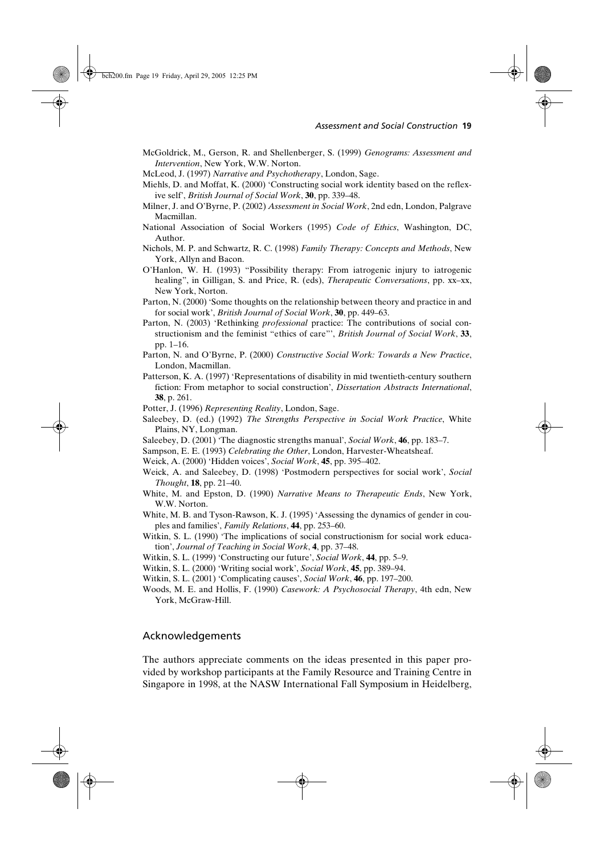McGoldrick, M., Gerson, R. and Shellenberger, S. (1999) *Genograms: Assessment and Intervention*, New York, W.W. Norton.

McLeod, J. (1997) *Narrative and Psychotherapy*, London, Sage.

- Miehls, D. and Moffat, K. (2000) 'Constructing social work identity based on the reflexive self', *British Journal of Social Work*, **30**, pp. 339–48.
- Milner, J. and O'Byrne, P. (2002) *Assessment in Social Work*, 2nd edn, London, Palgrave Macmillan.
- National Association of Social Workers (1995) *Code of Ethics*, Washington, DC, Author.
- Nichols, M. P. and Schwartz, R. C. (1998) *Family Therapy: Concepts and Methods*, New York, Allyn and Bacon.
- O'Hanlon, W. H. (1993) "Possibility therapy: From iatrogenic injury to iatrogenic healing", in Gilligan, S. and Price, R. (eds), *Therapeutic Conversations*, pp. xx–xx, New York, Norton.
- Parton, N. (2000) 'Some thoughts on the relationship between theory and practice in and for social work', *British Journal of Social Work*, **30**, pp. 449–63.
- Parton, N. (2003) 'Rethinking *professional* practice: The contributions of social constructionism and the feminist "ethics of care"', *British Journal of Social Work*, **33**, pp. 1–16.
- Parton, N. and O'Byrne, P. (2000) *Constructive Social Work: Towards a New Practice*, London, Macmillan.
- Patterson, K. A. (1997) 'Representations of disability in mid twentieth-century southern fiction: From metaphor to social construction', *Dissertation Abstracts International*, **38**, p. 261.
- Potter, J. (1996) *Representing Reality*, London, Sage.
- Saleebey, D. (ed.) (1992) *The Strengths Perspective in Social Work Practice*, White Plains, NY, Longman.
- Saleebey, D. (2001) 'The diagnostic strengths manual', *Social Work*, **46**, pp. 183–7.
- Sampson, E. E. (1993) *Celebrating the Other*, London, Harvester-Wheatsheaf.
- Weick, A. (2000) 'Hidden voices', *Social Work*, **45**, pp. 395–402.
- Weick, A. and Saleebey, D. (1998) 'Postmodern perspectives for social work', *Social Thought*, **18**, pp. 21–40.
- White, M. and Epston, D. (1990) *Narrative Means to Therapeutic Ends*, New York, W.W. Norton.
- White, M. B. and Tyson-Rawson, K. J. (1995) 'Assessing the dynamics of gender in couples and families', *Family Relations*, **44**, pp. 253–60.
- Witkin, S. L. (1990) 'The implications of social constructionism for social work education', *Journal of Teaching in Social Work*, **4**, pp. 37–48.
- Witkin, S. L. (1999) 'Constructing our future', *Social Work*, **44**, pp. 5–9.
- Witkin, S. L. (2000) 'Writing social work', *Social Work*, **45**, pp. 389–94.
- Witkin, S. L. (2001) 'Complicating causes', *Social Work*, **46**, pp. 197–200.
- Woods, M. E. and Hollis, F. (1990) *Casework: A Psychosocial Therapy*, 4th edn, New York, McGraw-Hill.

#### Acknowledgements

The authors appreciate comments on the ideas presented in this paper provided by workshop participants at the Family Resource and Training Centre in Singapore in 1998, at the NASW International Fall Symposium in Heidelberg,